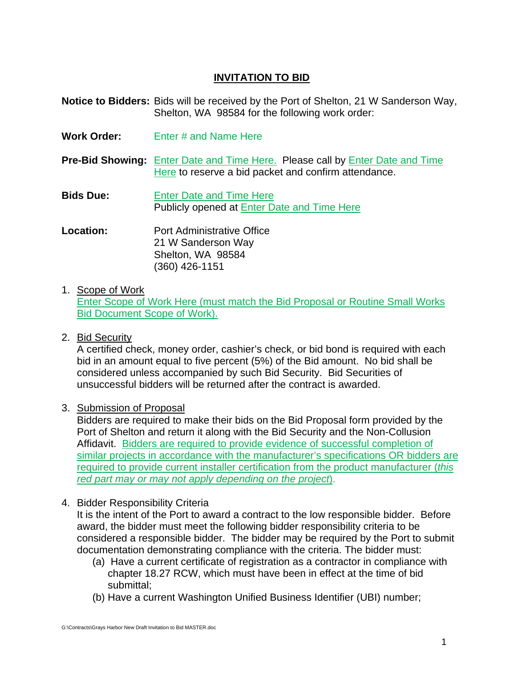# **INVITATION TO BID**

**Notice to Bidders:** Bids will be received by the Port of Shelton, 21 W Sanderson Way, Shelton, WA 98584 for the following work order:

**Work Order:** Enter # and Name Here

**Pre-Bid Showing:** Enter Date and Time Here. Please call by Enter Date and Time Here to reserve a bid packet and confirm attendance.

**Bids Due:** Enter Date and Time Here Publicly opened at Enter Date and Time Here

**Location:** Port Administrative Office 21 W Sanderson Way Shelton, WA 98584 (360) 426-1151

1. Scope of Work

Enter Scope of Work Here (must match the Bid Proposal or Routine Small Works Bid Document Scope of Work).

2. Bid Security

A certified check, money order, cashier's check, or bid bond is required with each bid in an amount equal to five percent (5%) of the Bid amount. No bid shall be considered unless accompanied by such Bid Security. Bid Securities of unsuccessful bidders will be returned after the contract is awarded.

3. Submission of Proposal

Bidders are required to make their bids on the Bid Proposal form provided by the Port of Shelton and return it along with the Bid Security and the Non-Collusion Affidavit. Bidders are required to provide evidence of successful completion of similar projects in accordance with the manufacturer's specifications OR bidders are required to provide current installer certification from the product manufacturer (*this red part may or may not apply depending on the project*).

4. Bidder Responsibility Criteria

It is the intent of the Port to award a contract to the low responsible bidder. Before award, the bidder must meet the following bidder responsibility criteria to be considered a responsible bidder. The bidder may be required by the Port to submit documentation demonstrating compliance with the criteria. The bidder must:

- (a) Have a current certificate of registration as a contractor in compliance with chapter 18.27 RCW, which must have been in effect at the time of bid submittal;
- (b) Have a current Washington Unified Business Identifier (UBI) number;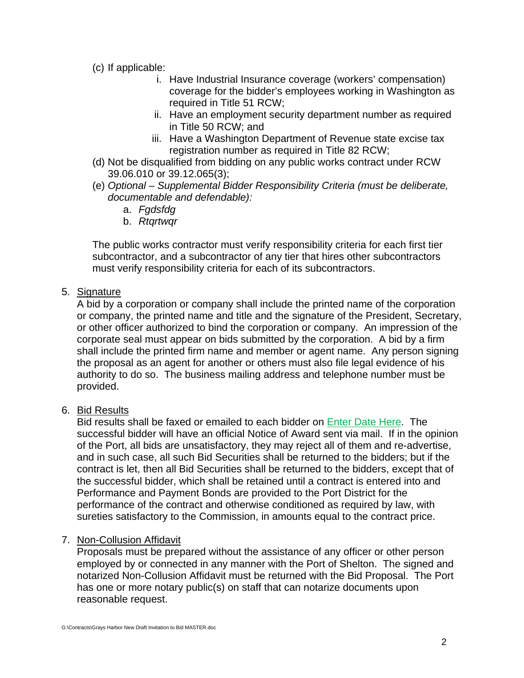- (c) If applicable:
	- i. Have Industrial Insurance coverage (workers' compensation) coverage for the bidder's employees working in Washington as required in Title 51 RCW;
	- ii. Have an employment security department number as required in Title 50 RCW; and
	- iii. Have a Washington Department of Revenue state excise tax registration number as required in Title 82 RCW;
- (d) Not be disqualified from bidding on any public works contract under RCW 39.06.010 or 39.12.065(3);
- (e) *Optional Supplemental Bidder Responsibility Criteria (must be deliberate, documentable and defendable):*
	- a. *Fgdsfdg*
	- b. *Rtqrtwqr*

The public works contractor must verify responsibility criteria for each first tier subcontractor, and a subcontractor of any tier that hires other subcontractors must verify responsibility criteria for each of its subcontractors.

## 5. Signature

A bid by a corporation or company shall include the printed name of the corporation or company, the printed name and title and the signature of the President, Secretary, or other officer authorized to bind the corporation or company. An impression of the corporate seal must appear on bids submitted by the corporation. A bid by a firm shall include the printed firm name and member or agent name. Any person signing the proposal as an agent for another or others must also file legal evidence of his authority to do so. The business mailing address and telephone number must be provided.

## 6. Bid Results

Bid results shall be faxed or emailed to each bidder on **Enter Date Here.** The successful bidder will have an official Notice of Award sent via mail. If in the opinion of the Port, all bids are unsatisfactory, they may reject all of them and re-advertise, and in such case, all such Bid Securities shall be returned to the bidders; but if the contract is let, then all Bid Securities shall be returned to the bidders, except that of the successful bidder, which shall be retained until a contract is entered into and Performance and Payment Bonds are provided to the Port District for the performance of the contract and otherwise conditioned as required by law, with sureties satisfactory to the Commission, in amounts equal to the contract price.

## 7. Non-Collusion Affidavit

Proposals must be prepared without the assistance of any officer or other person employed by or connected in any manner with the Port of Shelton. The signed and notarized Non-Collusion Affidavit must be returned with the Bid Proposal. The Port has one or more notary public(s) on staff that can notarize documents upon reasonable request.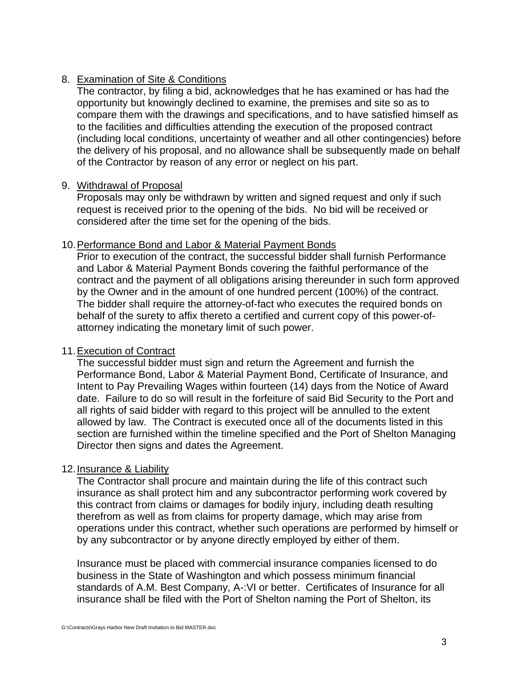## 8. Examination of Site & Conditions

The contractor, by filing a bid, acknowledges that he has examined or has had the opportunity but knowingly declined to examine, the premises and site so as to compare them with the drawings and specifications, and to have satisfied himself as to the facilities and difficulties attending the execution of the proposed contract (including local conditions, uncertainty of weather and all other contingencies) before the delivery of his proposal, and no allowance shall be subsequently made on behalf of the Contractor by reason of any error or neglect on his part.

#### 9. Withdrawal of Proposal

Proposals may only be withdrawn by written and signed request and only if such request is received prior to the opening of the bids. No bid will be received or considered after the time set for the opening of the bids.

#### 10. Performance Bond and Labor & Material Payment Bonds

Prior to execution of the contract, the successful bidder shall furnish Performance and Labor & Material Payment Bonds covering the faithful performance of the contract and the payment of all obligations arising thereunder in such form approved by the Owner and in the amount of one hundred percent (100%) of the contract. The bidder shall require the attorney-of-fact who executes the required bonds on behalf of the surety to affix thereto a certified and current copy of this power-ofattorney indicating the monetary limit of such power.

## 11. Execution of Contract

The successful bidder must sign and return the Agreement and furnish the Performance Bond, Labor & Material Payment Bond, Certificate of Insurance, and Intent to Pay Prevailing Wages within fourteen (14) days from the Notice of Award date. Failure to do so will result in the forfeiture of said Bid Security to the Port and all rights of said bidder with regard to this project will be annulled to the extent allowed by law. The Contract is executed once all of the documents listed in this section are furnished within the timeline specified and the Port of Shelton Managing Director then signs and dates the Agreement.

## 12. Insurance & Liability

The Contractor shall procure and maintain during the life of this contract such insurance as shall protect him and any subcontractor performing work covered by this contract from claims or damages for bodily injury, including death resulting therefrom as well as from claims for property damage, which may arise from operations under this contract, whether such operations are performed by himself or by any subcontractor or by anyone directly employed by either of them.

Insurance must be placed with commercial insurance companies licensed to do business in the State of Washington and which possess minimum financial standards of A.M. Best Company, A-:VI or better. Certificates of Insurance for all insurance shall be filed with the Port of Shelton naming the Port of Shelton, its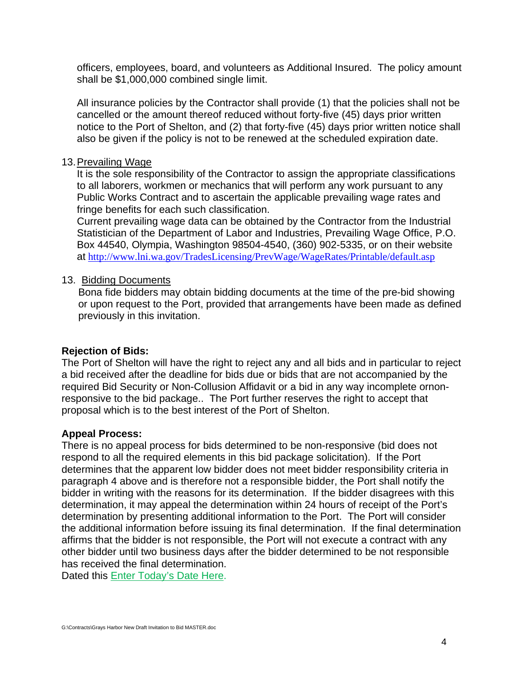officers, employees, board, and volunteers as Additional Insured. The policy amount shall be \$1,000,000 combined single limit.

All insurance policies by the Contractor shall provide (1) that the policies shall not be cancelled or the amount thereof reduced without forty-five (45) days prior written notice to the Port of Shelton, and (2) that forty-five (45) days prior written notice shall also be given if the policy is not to be renewed at the scheduled expiration date.

#### 13. Prevailing Wage

It is the sole responsibility of the Contractor to assign the appropriate classifications to all laborers, workmen or mechanics that will perform any work pursuant to any Public Works Contract and to ascertain the applicable prevailing wage rates and fringe benefits for each such classification.

Current prevailing wage data can be obtained by the Contractor from the Industrial Statistician of the Department of Labor and Industries, Prevailing Wage Office, P.O. Box 44540, Olympia, Washington 98504-4540, (360) 902-5335, or on their website at http://www.lni.wa.gov/TradesLicensing/PrevWage/WageRates/Printable/default.asp

#### 13. Bidding Documents

Bona fide bidders may obtain bidding documents at the time of the pre-bid showing or upon request to the Port, provided that arrangements have been made as defined previously in this invitation.

## **Rejection of Bids:**

The Port of Shelton will have the right to reject any and all bids and in particular to reject a bid received after the deadline for bids due or bids that are not accompanied by the required Bid Security or Non-Collusion Affidavit or a bid in any way incomplete ornonresponsive to the bid package.. The Port further reserves the right to accept that proposal which is to the best interest of the Port of Shelton.

## **Appeal Process:**

There is no appeal process for bids determined to be non-responsive (bid does not respond to all the required elements in this bid package solicitation). If the Port determines that the apparent low bidder does not meet bidder responsibility criteria in paragraph 4 above and is therefore not a responsible bidder, the Port shall notify the bidder in writing with the reasons for its determination. If the bidder disagrees with this determination, it may appeal the determination within 24 hours of receipt of the Port's determination by presenting additional information to the Port. The Port will consider the additional information before issuing its final determination. If the final determination affirms that the bidder is not responsible, the Port will not execute a contract with any other bidder until two business days after the bidder determined to be not responsible has received the final determination.

Dated this **Enter Today's Date Here.**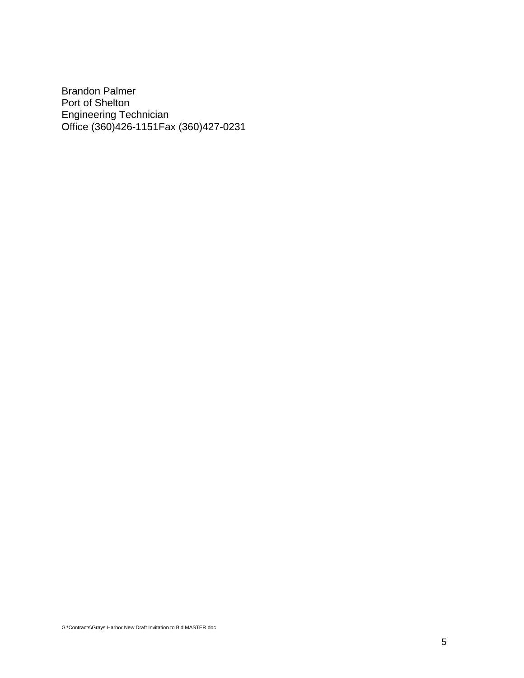Brandon Palmer Port of Shelton Engineering Technician Office (360)426-1151Fax (360)427-0231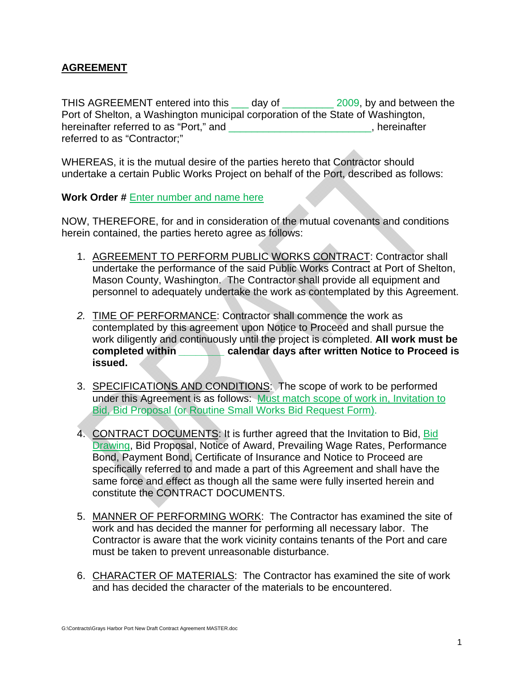## **AGREEMENT**

THIS AGREEMENT entered into this \_\_\_ day of \_\_\_\_\_\_\_\_\_ 2009, by and between the Port of Shelton, a Washington municipal corporation of the State of Washington, hereinafter referred to as "Port," and \_\_\_\_\_\_\_\_\_\_\_\_\_\_\_\_\_\_\_\_\_\_\_\_\_\_\_\_, hereinafter referred to as "Contractor;"

WHEREAS, it is the mutual desire of the parties hereto that Contractor should undertake a certain Public Works Project on behalf of the Port, described as follows:

**Work Order #** Enter number and name here

NOW, THEREFORE, for and in consideration of the mutual covenants and conditions herein contained, the parties hereto agree as follows:

- 1. AGREEMENT TO PERFORM PUBLIC WORKS CONTRACT: Contractor shall undertake the performance of the said Public Works Contract at Port of Shelton, Mason County, Washington. The Contractor shall provide all equipment and personnel to adequately undertake the work as contemplated by this Agreement.
- *2.* TIME OF PERFORMANCE: Contractor shall commence the work as contemplated by this agreement upon Notice to Proceed and shall pursue the work diligently and continuously until the project is completed. **All work must be completed within** *\_\_\_\_\_\_\_\_* **calendar days after written Notice to Proceed is issued.**
- 3. SPECIFICATIONS AND CONDITIONS: The scope of work to be performed under this Agreement is as follows: Must match scope of work in, Invitation to Bid, Bid Proposal (or Routine Small Works Bid Request Form).
- 4. CONTRACT DOCUMENTS: It is further agreed that the Invitation to Bid, Bid Drawing, Bid Proposal, Notice of Award, Prevailing Wage Rates, Performance Bond, Payment Bond, Certificate of Insurance and Notice to Proceed are specifically referred to and made a part of this Agreement and shall have the same force and effect as though all the same were fully inserted herein and constitute the CONTRACT DOCUMENTS.
- 5. MANNER OF PERFORMING WORK: The Contractor has examined the site of work and has decided the manner for performing all necessary labor. The Contractor is aware that the work vicinity contains tenants of the Port and care must be taken to prevent unreasonable disturbance.
- 6. CHARACTER OF MATERIALS: The Contractor has examined the site of work and has decided the character of the materials to be encountered.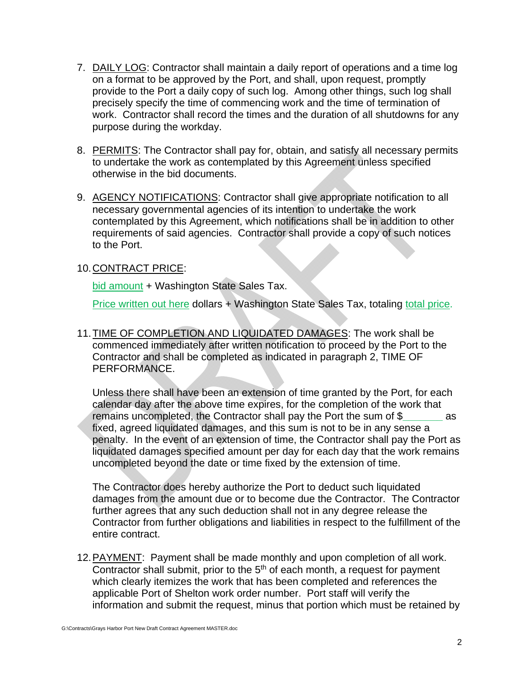- 7. DAILY LOG: Contractor shall maintain a daily report of operations and a time log on a format to be approved by the Port, and shall, upon request, promptly provide to the Port a daily copy of such log. Among other things, such log shall precisely specify the time of commencing work and the time of termination of work. Contractor shall record the times and the duration of all shutdowns for any purpose during the workday.
- 8. PERMITS: The Contractor shall pay for, obtain, and satisfy all necessary permits to undertake the work as contemplated by this Agreement unless specified otherwise in the bid documents.
- 9. AGENCY NOTIFICATIONS: Contractor shall give appropriate notification to all necessary governmental agencies of its intention to undertake the work contemplated by this Agreement, which notifications shall be in addition to other requirements of said agencies. Contractor shall provide a copy of such notices to the Port.

## 10. CONTRACT PRICE:

bid amount + Washington State Sales Tax.

Price written out here dollars + Washington State Sales Tax, totaling total price.

11. TIME OF COMPLETION AND LIQUIDATED DAMAGES: The work shall be commenced immediately after written notification to proceed by the Port to the Contractor and shall be completed as indicated in paragraph 2, TIME OF PERFORMANCE.

Unless there shall have been an extension of time granted by the Port, for each calendar day after the above time expires, for the completion of the work that remains uncompleted, the Contractor shall pay the Port the sum of \$**\_\_\_\_\_\_\_** as fixed, agreed liquidated damages, and this sum is not to be in any sense a penalty. In the event of an extension of time, the Contractor shall pay the Port as liquidated damages specified amount per day for each day that the work remains uncompleted beyond the date or time fixed by the extension of time.

The Contractor does hereby authorize the Port to deduct such liquidated damages from the amount due or to become due the Contractor. The Contractor further agrees that any such deduction shall not in any degree release the Contractor from further obligations and liabilities in respect to the fulfillment of the entire contract.

12. PAYMENT: Payment shall be made monthly and upon completion of all work. Contractor shall submit, prior to the 5<sup>th</sup> of each month, a request for payment which clearly itemizes the work that has been completed and references the applicable Port of Shelton work order number. Port staff will verify the information and submit the request, minus that portion which must be retained by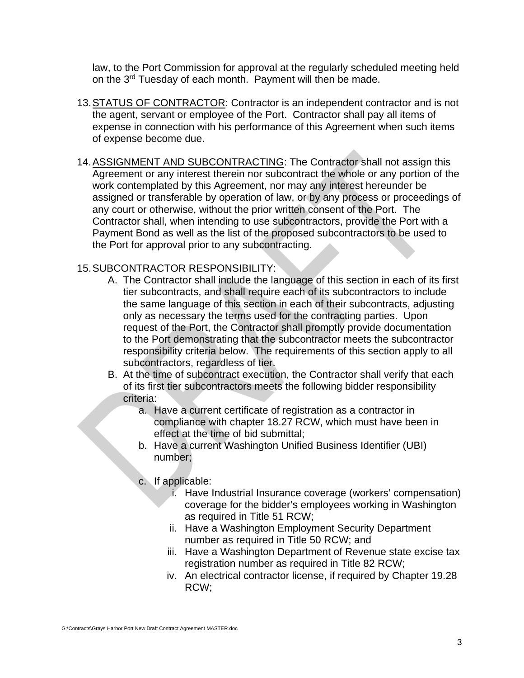law, to the Port Commission for approval at the regularly scheduled meeting held on the 3rd Tuesday of each month. Payment will then be made.

- 13. STATUS OF CONTRACTOR: Contractor is an independent contractor and is not the agent, servant or employee of the Port. Contractor shall pay all items of expense in connection with his performance of this Agreement when such items of expense become due.
- 14. ASSIGNMENT AND SUBCONTRACTING: The Contractor shall not assign this Agreement or any interest therein nor subcontract the whole or any portion of the work contemplated by this Agreement, nor may any interest hereunder be assigned or transferable by operation of law, or by any process or proceedings of any court or otherwise, without the prior written consent of the Port. The Contractor shall, when intending to use subcontractors, provide the Port with a Payment Bond as well as the list of the proposed subcontractors to be used to the Port for approval prior to any subcontracting.

## 15. SUBCONTRACTOR RESPONSIBILITY:

- A. The Contractor shall include the language of this section in each of its first tier subcontracts, and shall require each of its subcontractors to include the same language of this section in each of their subcontracts, adjusting only as necessary the terms used for the contracting parties. Upon request of the Port, the Contractor shall promptly provide documentation to the Port demonstrating that the subcontractor meets the subcontractor responsibility criteria below. The requirements of this section apply to all subcontractors, regardless of tier.
- B. At the time of subcontract execution, the Contractor shall verify that each of its first tier subcontractors meets the following bidder responsibility criteria:
	- a. Have a current certificate of registration as a contractor in compliance with chapter 18.27 RCW, which must have been in effect at the time of bid submittal;
	- b. Have a current Washington Unified Business Identifier (UBI) number;
	- c. If applicable:
		- i. Have Industrial Insurance coverage (workers' compensation) coverage for the bidder's employees working in Washington as required in Title 51 RCW;
		- ii. Have a Washington Employment Security Department number as required in Title 50 RCW; and
		- iii. Have a Washington Department of Revenue state excise tax registration number as required in Title 82 RCW;
		- iv. An electrical contractor license, if required by Chapter 19.28 RCW;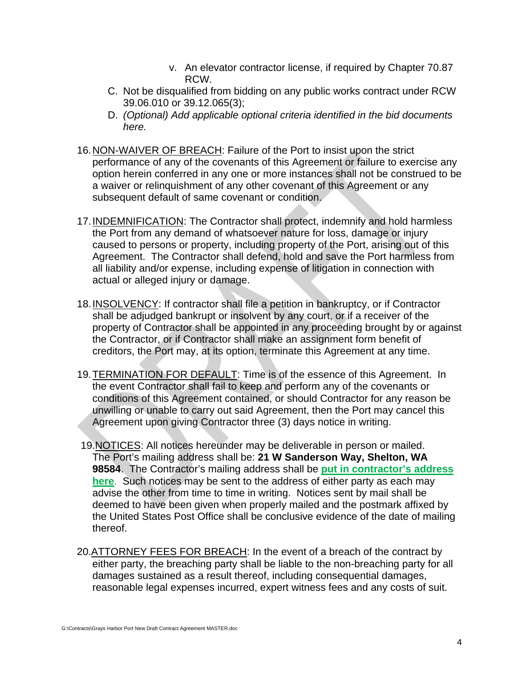- v. An elevator contractor license, if required by Chapter 70.87 RCW.
- C. Not be disqualified from bidding on any public works contract under RCW 39.06.010 or 39.12.065(3);
- D. *(Optional) Add applicable optional criteria identified in the bid documents here.*
- 16. NON-WAIVER OF BREACH: Failure of the Port to insist upon the strict performance of any of the covenants of this Agreement or failure to exercise any option herein conferred in any one or more instances shall not be construed to be a waiver or relinquishment of any other covenant of this Agreement or any subsequent default of same covenant or condition.
- 17. INDEMNIFICATION: The Contractor shall protect, indemnify and hold harmless the Port from any demand of whatsoever nature for loss, damage or injury caused to persons or property, including property of the Port, arising out of this Agreement. The Contractor shall defend, hold and save the Port harmless from all liability and/or expense, including expense of litigation in connection with actual or alleged injury or damage.
- 18. INSOLVENCY: If contractor shall file a petition in bankruptcy, or if Contractor shall be adjudged bankrupt or insolvent by any court, or if a receiver of the property of Contractor shall be appointed in any proceeding brought by or against the Contractor, or if Contractor shall make an assignment form benefit of creditors, the Port may, at its option, terminate this Agreement at any time.
- 19. TERMINATION FOR DEFAULT: Time is of the essence of this Agreement. In the event Contractor shall fail to keep and perform any of the covenants or conditions of this Agreement contained, or should Contractor for any reason be unwilling or unable to carry out said Agreement, then the Port may cancel this Agreement upon giving Contractor three (3) days notice in writing.
- 19.NOTICES: All notices hereunder may be deliverable in person or mailed. The Port's mailing address shall be: **21 W Sanderson Way, Shelton, WA 98584**. The Contractor's mailing address shall be **put in contractor's address here**. Such notices may be sent to the address of either party as each may advise the other from time to time in writing. Notices sent by mail shall be deemed to have been given when properly mailed and the postmark affixed by the United States Post Office shall be conclusive evidence of the date of mailing thereof.
- 20.ATTORNEY FEES FOR BREACH: In the event of a breach of the contract by either party, the breaching party shall be liable to the non-breaching party for all damages sustained as a result thereof, including consequential damages, reasonable legal expenses incurred, expert witness fees and any costs of suit.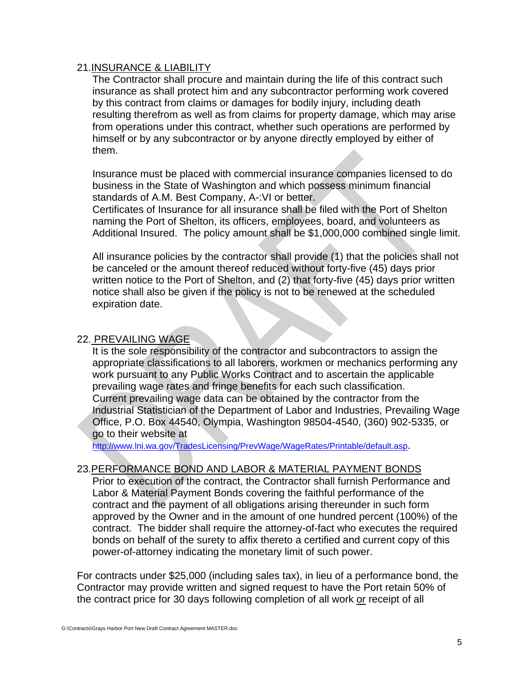### 21.INSURANCE & LIABILITY

The Contractor shall procure and maintain during the life of this contract such insurance as shall protect him and any subcontractor performing work covered by this contract from claims or damages for bodily injury, including death resulting therefrom as well as from claims for property damage, which may arise from operations under this contract, whether such operations are performed by himself or by any subcontractor or by anyone directly employed by either of them.

Insurance must be placed with commercial insurance companies licensed to do business in the State of Washington and which possess minimum financial standards of A.M. Best Company, A-:VI or better.

Certificates of Insurance for all insurance shall be filed with the Port of Shelton naming the Port of Shelton, its officers, employees, board, and volunteers as Additional Insured. The policy amount shall be \$1,000,000 combined single limit.

All insurance policies by the contractor shall provide (1) that the policies shall not be canceled or the amount thereof reduced without forty-five (45) days prior written notice to the Port of Shelton, and (2) that forty-five (45) days prior written notice shall also be given if the policy is not to be renewed at the scheduled expiration date.

#### 22. PREVAILING WAGE

It is the sole responsibility of the contractor and subcontractors to assign the appropriate classifications to all laborers, workmen or mechanics performing any work pursuant to any Public Works Contract and to ascertain the applicable prevailing wage rates and fringe benefits for each such classification. Current prevailing wage data can be obtained by the contractor from the Industrial Statistician of the Department of Labor and Industries, Prevailing Wage Office, P.O. Box 44540, Olympia, Washington 98504-4540, (360) 902-5335, or go to their website at

http://www.lni.wa.gov/TradesLicensing/PrevWage/WageRates/Printable/default.asp.

## 23.PERFORMANCE BOND AND LABOR & MATERIAL PAYMENT BONDS

Prior to execution of the contract, the Contractor shall furnish Performance and Labor & Material Payment Bonds covering the faithful performance of the contract and the payment of all obligations arising thereunder in such form approved by the Owner and in the amount of one hundred percent (100%) of the contract. The bidder shall require the attorney-of-fact who executes the required bonds on behalf of the surety to affix thereto a certified and current copy of this power-of-attorney indicating the monetary limit of such power.

For contracts under \$25,000 (including sales tax), in lieu of a performance bond, the Contractor may provide written and signed request to have the Port retain 50% of the contract price for 30 days following completion of all work or receipt of all